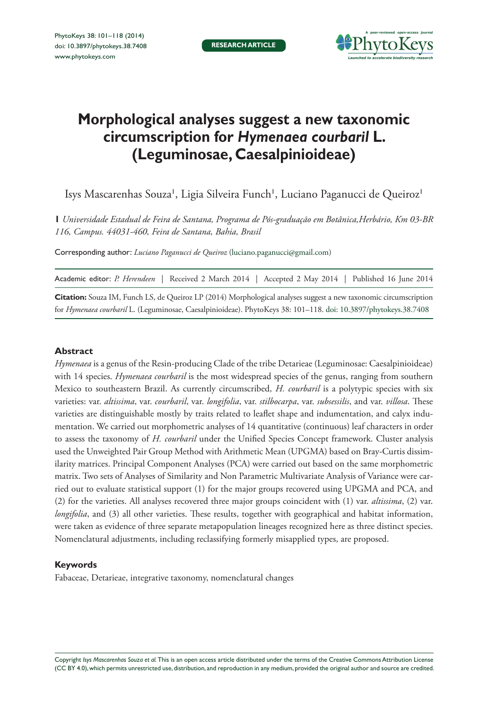

# **Morphological analyses suggest a new taxonomic circumscription for** *Hymenaea courbaril* **L. (Leguminosae, Caesalpinioideae)**

Isys Mascarenhas Souza', Ligia Silveira Funch', Luciano Paganucci de Queiroz'

**1** *Universidade Estadual de Feira de Santana, Programa de Pós-graduação em Botânica,Herbário, Km 03-BR 116, Campus. 44031-460, Feira de Santana, Bahia, Brasil*

Corresponding author: *Luciano Paganucci de Queiroz* [\(luciano.paganucci@gmail.com](mailto:luciano.paganucci@gmail.com))

**Citation:** Souza IM, Funch LS, de Queiroz LP (2014) Morphological analyses suggest a new taxonomic circumscription for *Hymenaea courbaril* L. (Leguminosae, Caesalpinioideae). PhytoKeys 38: 101–118. doi: [10.3897/phytokeys.38.7408](http://dx.doi.org/10.3897/phytokeys.38.7408)

## **Abstract**

*Hymenaea* is a genus of the Resin-producing Clade of the tribe Detarieae (Leguminosae: Caesalpinioideae) with 14 species. *Hymenaea courbaril* is the most widespread species of the genus, ranging from southern Mexico to southeastern Brazil. As currently circumscribed, *H. courbaril* is a polytypic species with six varieties: var. *altissima*, var. *courbaril*, var. *longifolia*, var. *stilbocarpa*, var. *subsessilis*, and var. *villosa*. These varieties are distinguishable mostly by traits related to leaflet shape and indumentation, and calyx indumentation. We carried out morphometric analyses of 14 quantitative (continuous) leaf characters in order to assess the taxonomy of *H. courbaril* under the Unified Species Concept framework. Cluster analysis used the Unweighted Pair Group Method with Arithmetic Mean (UPGMA) based on Bray-Curtis dissimilarity matrices. Principal Component Analyses (PCA) were carried out based on the same morphometric matrix. Two sets of Analyses of Similarity and Non Parametric Multivariate Analysis of Variance were carried out to evaluate statistical support (1) for the major groups recovered using UPGMA and PCA, and (2) for the varieties. All analyses recovered three major groups coincident with (1) var. *altissima*, (2) var. *longifolia*, and (3) all other varieties. These results, together with geographical and habitat information, were taken as evidence of three separate metapopulation lineages recognized here as three distinct species. Nomenclatural adjustments, including reclassifying formerly misapplied types, are proposed.

#### **Keywords**

Fabaceae, Detarieae, integrative taxonomy, nomenclatural changes

Copyright *Isys Mascarenhas Souza et al.* This is an open access article distributed under the terms of the [Creative Commons Attribution License](http://creativecommons.org/licenses/by/4.0/)  [\(CC BY 4.0\)](http://creativecommons.org/licenses/by/4.0/), which permits unrestricted use, distribution, and reproduction in any medium, provided the original author and source are credited.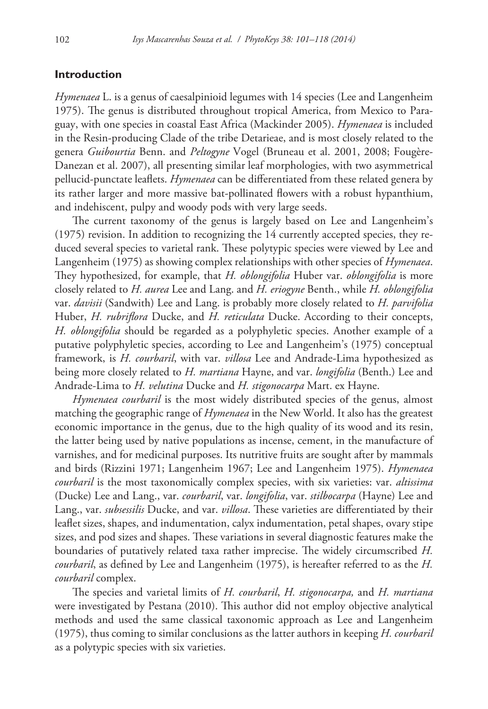## **Introduction**

*Hymenaea* L. is a genus of caesalpinioid legumes with 14 species (Lee and Langenheim 1975). The genus is distributed throughout tropical America, from Mexico to Paraguay, with one species in coastal East Africa (Mackinder 2005). *Hymenaea* is included in the Resin-producing Clade of the tribe Detarieae, and is most closely related to the genera *Guibourtia* Benn. and *Peltogyne* Vogel (Bruneau et al. 2001, 2008; Fougère-Danezan et al. 2007), all presenting similar leaf morphologies, with two asymmetrical pellucid-punctate leaflets. *Hymenaea* can be differentiated from these related genera by its rather larger and more massive bat-pollinated flowers with a robust hypanthium, and indehiscent, pulpy and woody pods with very large seeds.

The current taxonomy of the genus is largely based on Lee and Langenheim's (1975) revision. In addition to recognizing the 14 currently accepted species, they reduced several species to varietal rank. These polytypic species were viewed by Lee and Langenheim (1975) as showing complex relationships with other species of *Hymenaea*. They hypothesized, for example, that *H. oblongifolia* Huber var. *oblongifolia* is more closely related to *H. aurea* Lee and Lang. and *H. eriogyne* Benth., while *H. oblongifolia* var. *davisii* (Sandwith) Lee and Lang. is probably more closely related to *H. parvifolia* Huber, *H. rubriflora* Ducke, and *H. reticulata* Ducke. According to their concepts, *H. oblongifolia* should be regarded as a polyphyletic species. Another example of a putative polyphyletic species, according to Lee and Langenheim's (1975) conceptual framework, is *H. courbaril*, with var. *villosa* Lee and Andrade-Lima hypothesized as being more closely related to *H. martiana* Hayne, and var. *longifolia* (Benth.) Lee and Andrade-Lima to *H. velutina* Ducke and *H. stigonocarpa* Mart. ex Hayne.

*Hymenaea courbaril* is the most widely distributed species of the genus, almost matching the geographic range of *Hymenaea* in the New World. It also has the greatest economic importance in the genus, due to the high quality of its wood and its resin, the latter being used by native populations as incense, cement, in the manufacture of varnishes, and for medicinal purposes. Its nutritive fruits are sought after by mammals and birds (Rizzini 1971; Langenheim 1967; Lee and Langenheim 1975). *Hymenaea courbaril* is the most taxonomically complex species, with six varieties: var. *altissima*  (Ducke) Lee and Lang., var. *courbaril*, var. *longifolia*, var. *stilbocarpa* (Hayne) Lee and Lang., var. *subsessilis* Ducke, and var. *villosa*. These varieties are differentiated by their leaflet sizes, shapes, and indumentation, calyx indumentation, petal shapes, ovary stipe sizes, and pod sizes and shapes. These variations in several diagnostic features make the boundaries of putatively related taxa rather imprecise. The widely circumscribed *H. courbaril*, as defined by Lee and Langenheim (1975), is hereafter referred to as the *H. courbaril* complex.

The species and varietal limits of *H. courbaril*, *H. stigonocarpa,* and *H. martiana*  were investigated by Pestana (2010). This author did not employ objective analytical methods and used the same classical taxonomic approach as Lee and Langenheim (1975), thus coming to similar conclusions as the latter authors in keeping *H. courbaril*  as a polytypic species with six varieties.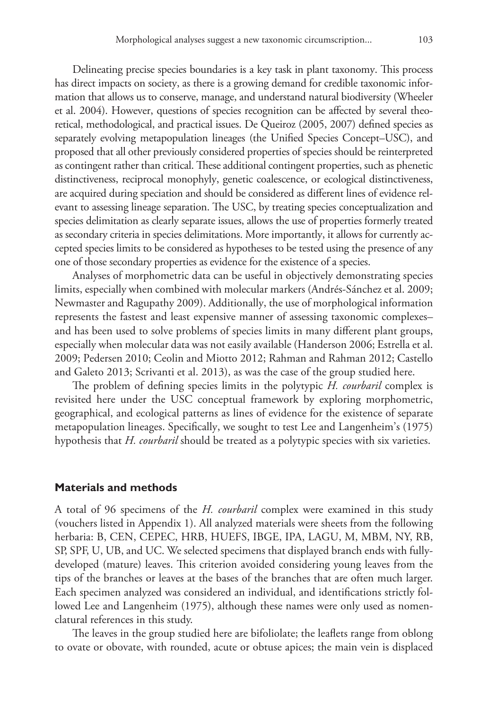Delineating precise species boundaries is a key task in plant taxonomy. This process has direct impacts on society, as there is a growing demand for credible taxonomic information that allows us to conserve, manage, and understand natural biodiversity (Wheeler et al. 2004). However, questions of species recognition can be affected by several theoretical, methodological, and practical issues. De Queiroz (2005, 2007) defined species as separately evolving metapopulation lineages (the Unified Species Concept–USC), and proposed that all other previously considered properties of species should be reinterpreted as contingent rather than critical. These additional contingent properties, such as phenetic distinctiveness, reciprocal monophyly, genetic coalescence, or ecological distinctiveness, are acquired during speciation and should be considered as different lines of evidence relevant to assessing lineage separation. The USC, by treating species conceptualization and species delimitation as clearly separate issues, allows the use of properties formerly treated as secondary criteria in species delimitations. More importantly, it allows for currently accepted species limits to be considered as hypotheses to be tested using the presence of any one of those secondary properties as evidence for the existence of a species.

Analyses of morphometric data can be useful in objectively demonstrating species limits, especially when combined with molecular markers (Andrés-Sánchez et al. 2009; Newmaster and Ragupathy 2009). Additionally, the use of morphological information represents the fastest and least expensive manner of assessing taxonomic complexes– and has been used to solve problems of species limits in many different plant groups, especially when molecular data was not easily available (Handerson 2006; Estrella et al. 2009; Pedersen 2010; Ceolin and Miotto 2012; Rahman and Rahman 2012; Castello and Galeto 2013; Scrivanti et al. 2013), as was the case of the group studied here.

The problem of defining species limits in the polytypic *H. courbaril* complex is revisited here under the USC conceptual framework by exploring morphometric, geographical, and ecological patterns as lines of evidence for the existence of separate metapopulation lineages. Specifically, we sought to test Lee and Langenheim's (1975) hypothesis that *H. courbaril* should be treated as a polytypic species with six varieties.

## **Materials and methods**

A total of 96 specimens of the *H. courbaril* complex were examined in this study (vouchers listed in Appendix 1). All analyzed materials were sheets from the following herbaria: B, CEN, CEPEC, HRB, HUEFS, IBGE, IPA, LAGU, M, MBM, NY, RB, SP, SPF, U, UB, and UC. We selected specimens that displayed branch ends with fullydeveloped (mature) leaves. This criterion avoided considering young leaves from the tips of the branches or leaves at the bases of the branches that are often much larger. Each specimen analyzed was considered an individual, and identifications strictly followed Lee and Langenheim (1975), although these names were only used as nomenclatural references in this study.

The leaves in the group studied here are bifoliolate; the leaflets range from oblong to ovate or obovate, with rounded, acute or obtuse apices; the main vein is displaced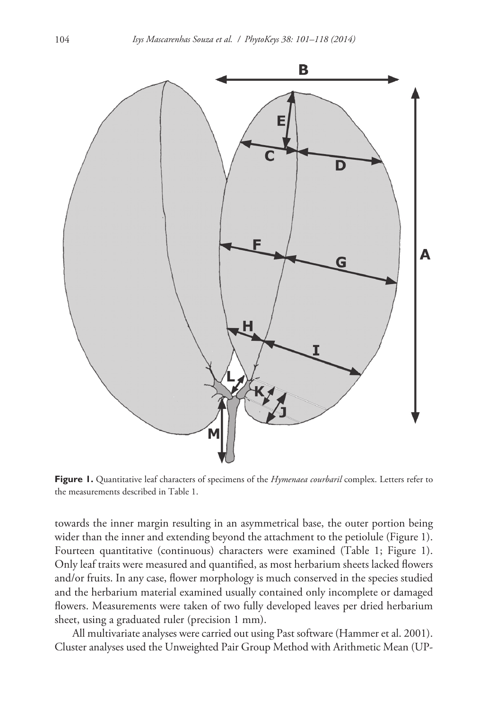

**Figure 1.** Quantitative leaf characters of specimens of the *Hymenaea courbaril* complex. Letters refer to the measurements described in Table 1.

towards the inner margin resulting in an asymmetrical base, the outer portion being wider than the inner and extending beyond the attachment to the petiolule (Figure 1). Fourteen quantitative (continuous) characters were examined (Table 1; Figure 1). Only leaf traits were measured and quantified, as most herbarium sheets lacked flowers and/or fruits. In any case, flower morphology is much conserved in the species studied and the herbarium material examined usually contained only incomplete or damaged flowers. Measurements were taken of two fully developed leaves per dried herbarium sheet, using a graduated ruler (precision 1 mm).

All multivariate analyses were carried out using Past software (Hammer et al. 2001). Cluster analyses used the Unweighted Pair Group Method with Arithmetic Mean (UP-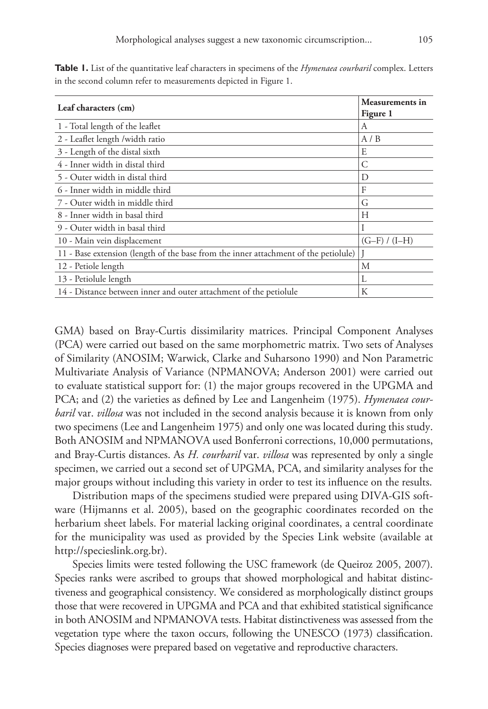| Leaf characters (cm)                                                                | <b>Measurements in</b><br>Figure 1 |
|-------------------------------------------------------------------------------------|------------------------------------|
| 1 - Total length of the leaflet                                                     | А                                  |
| 2 - Leaflet length /width ratio                                                     | A/B                                |
| 3 - Length of the distal sixth                                                      | E                                  |
| 4 - Inner width in distal third                                                     | C                                  |
| 5 - Outer width in distal third                                                     | D                                  |
| 6 - Inner width in middle third                                                     | F                                  |
| 7 - Outer width in middle third                                                     | G                                  |
| 8 - Inner width in basal third                                                      | Н                                  |
| 9 - Outer width in basal third                                                      |                                    |
| 10 - Main vein displacement                                                         | $(G-F)/(I-H)$                      |
| 11 - Base extension (length of the base from the inner attachment of the petiolule) |                                    |
| 12 - Petiole length                                                                 | М                                  |
| 13 - Petiolule length                                                               | L                                  |
| 14 - Distance between inner and outer attachment of the petiolule                   | К                                  |

**Table 1.** List of the quantitative leaf characters in specimens of the *Hymenaea courbaril* complex. Letters in the second column refer to measurements depicted in Figure 1.

GMA) based on Bray-Curtis dissimilarity matrices. Principal Component Analyses (PCA) were carried out based on the same morphometric matrix. Two sets of Analyses of Similarity (ANOSIM; Warwick, Clarke and Suharsono 1990) and Non Parametric Multivariate Analysis of Variance (NPMANOVA; Anderson 2001) were carried out to evaluate statistical support for: (1) the major groups recovered in the UPGMA and PCA; and (2) the varieties as defined by Lee and Langenheim (1975). *Hymenaea courbaril* var. *villosa* was not included in the second analysis because it is known from only two specimens (Lee and Langenheim 1975) and only one was located during this study. Both ANOSIM and NPMANOVA used Bonferroni corrections, 10,000 permutations, and Bray-Curtis distances. As *H. courbaril* var. *villosa* was represented by only a single specimen, we carried out a second set of UPGMA, PCA, and similarity analyses for the major groups without including this variety in order to test its influence on the results.

Distribution maps of the specimens studied were prepared using DIVA-GIS software (Hijmanns et al. 2005), based on the geographic coordinates recorded on the herbarium sheet labels. For material lacking original coordinates, a central coordinate for the municipality was used as provided by the Species Link website (available at <http://specieslink.org.br>).

Species limits were tested following the USC framework (de Queiroz 2005, 2007). Species ranks were ascribed to groups that showed morphological and habitat distinctiveness and geographical consistency. We considered as morphologically distinct groups those that were recovered in UPGMA and PCA and that exhibited statistical significance in both ANOSIM and NPMANOVA tests. Habitat distinctiveness was assessed from the vegetation type where the taxon occurs, following the UNESCO (1973) classification. Species diagnoses were prepared based on vegetative and reproductive characters.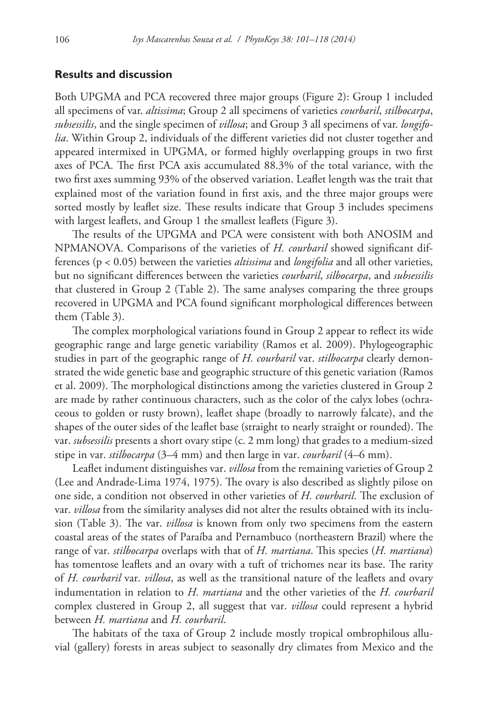## **Results and discussion**

Both UPGMA and PCA recovered three major groups (Figure 2): Group 1 included all specimens of var. *altissima*; Group 2 all specimens of varieties *courbaril*, *stilbocarpa*, *subsessilis*, and the single specimen of *villosa*; and Group 3 all specimens of var. *longifolia*. Within Group 2, individuals of the different varieties did not cluster together and appeared intermixed in UPGMA, or formed highly overlapping groups in two first axes of PCA. The first PCA axis accumulated 88.3% of the total variance, with the two first axes summing 93% of the observed variation. Leaflet length was the trait that explained most of the variation found in first axis, and the three major groups were sorted mostly by leaflet size. These results indicate that Group 3 includes specimens with largest leaflets, and Group 1 the smallest leaflets (Figure 3).

The results of the UPGMA and PCA were consistent with both ANOSIM and NPMANOVA. Comparisons of the varieties of *H. courbaril* showed significant differences (p < 0.05) between the varieties *altissima* and *longifolia* and all other varieties, but no significant differences between the varieties *courbaril*, *silbocarpa*, and *subsessilis* that clustered in Group 2 (Table 2). The same analyses comparing the three groups recovered in UPGMA and PCA found significant morphological differences between them (Table 3).

The complex morphological variations found in Group 2 appear to reflect its wide geographic range and large genetic variability (Ramos et al. 2009). Phylogeographic studies in part of the geographic range of *H. courbaril* var. *stilbocarpa* clearly demonstrated the wide genetic base and geographic structure of this genetic variation (Ramos et al. 2009). The morphological distinctions among the varieties clustered in Group 2 are made by rather continuous characters, such as the color of the calyx lobes (ochraceous to golden or rusty brown), leaflet shape (broadly to narrowly falcate), and the shapes of the outer sides of the leaflet base (straight to nearly straight or rounded). The var. *subsessilis* presents a short ovary stipe (c. 2 mm long) that grades to a medium-sized stipe in var. *stilbocarpa* (3–4 mm) and then large in var. *courbaril* (4–6 mm).

Leaflet indument distinguishes var. *villosa* from the remaining varieties of Group 2 (Lee and Andrade-Lima 1974, 1975). The ovary is also described as slightly pilose on one side, a condition not observed in other varieties of *H. courbaril*. The exclusion of var. *villosa* from the similarity analyses did not alter the results obtained with its inclusion (Table 3). The var. *villosa* is known from only two specimens from the eastern coastal areas of the states of Paraíba and Pernambuco (northeastern Brazil) where the range of var. *stilbocarpa* overlaps with that of *H. martiana*. This species (*H. martiana*) has tomentose leaflets and an ovary with a tuft of trichomes near its base. The rarity of *H. courbaril* var. *villosa*, as well as the transitional nature of the leaflets and ovary indumentation in relation to *H. martiana* and the other varieties of the *H. courbaril* complex clustered in Group 2, all suggest that var. *villosa* could represent a hybrid between *H. martiana* and *H. courbaril*.

The habitats of the taxa of Group 2 include mostly tropical ombrophilous alluvial (gallery) forests in areas subject to seasonally dry climates from Mexico and the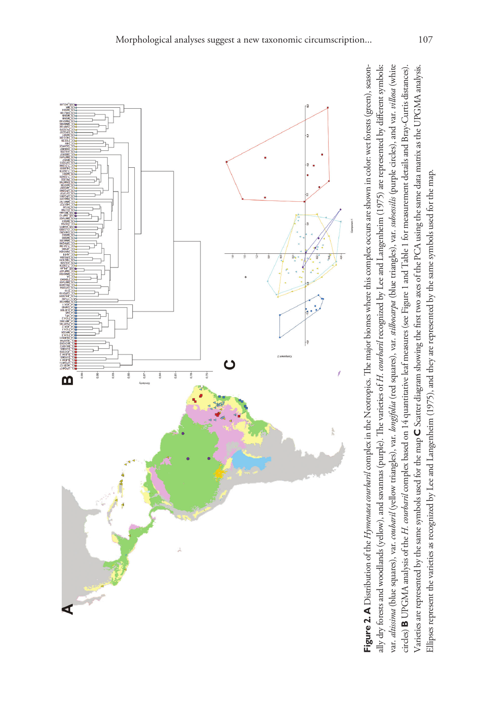

ally dry forests and woodlands (yellow), and savannas (purple). The varieties of *H. courbaril* recognized by Lee and Langenheim (1975) are represented by different symbols: var. altissima (blue squares), var. coubaril (yellow triangles), var. longifolia (red squares), var. stillocarpa (blue triangles), var. subsessilis (purple circles), and var. villosa (white var. altissima (blue squares), var. coubaril (yellow triangles), var. longifolia (red squares), var. stilbocarpa (blue triangles), var. subsessilis (purple circles), and var. villosa (white **B** UPGMA analysis of the *H. courbaril* complex based on 14 quantitative leaf measures (see Figure 1 and Table 1 for measurement details and Bray-Curtis distances). **C** Scatter diagram showing the first two axes of the PCA using the same data matrix as the UPGMA analysis. **Figure 2. A** Distribution of the *Hymenata courbaril* complex in the Neotropics. The major biomes where this complex occurs are shown in color: wet forests (green), seasonally dry forests and woodlands (yellow), and savannas (purple). The varieties of H. courbard recognized by Lee and Langenheim (1975) are represented by different symbols: circles) **B** UPGMA analysis of the *H. courbaril* complex based on 14 quantitative leaf measures (see Figure 1 and Table 1 for measurement details and Bray-Curtis distances). Varieties are represented by the same symbols used for the map C Scatter diagram showing the first two axes of the PCA using the same data matrix as the UPGMA analysis. **A** Distribution of the *Hymenaea courbaril* complex in the Neotropics. The major biomes where this complex occurs are shown in color: wet forests (green), season-Ellipses represent the varieties as recognized by Lee and Langenheim (1975), and they are represented by the same symbols used for the map. Ellipses represent the varieties as recognized by Lee and Langenheim (1975), and they are represented by the same symbols used for the map.Varieties are represented by the same symbols used for the map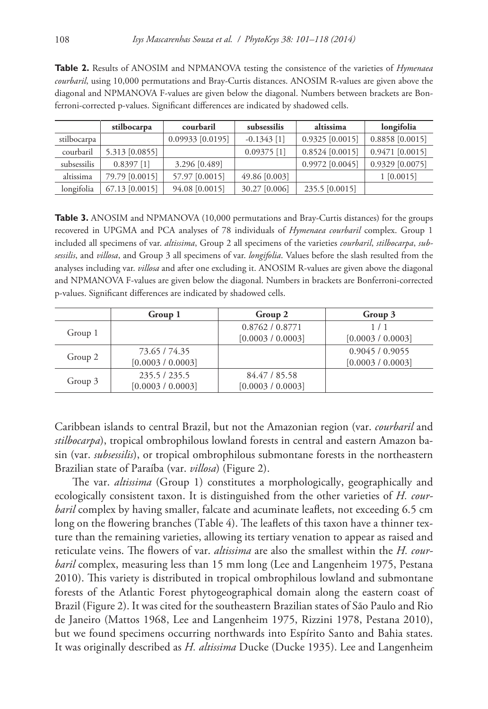|             | stilbocarpa      | courbaril          | subsessilis   | altissima         | longifolia      |
|-------------|------------------|--------------------|---------------|-------------------|-----------------|
| stilbocarpa |                  | $0.09933$ [0.0195] | $-0.1343$ [1] | $0.9325$ [0.0015] | 0.8858 [0.0015] |
| courbaril   | 5.313 [0.0855]   |                    | $0.09375$ [1] | $0.8524$ [0.0015] | 0.9471 [0.0015] |
| subsessilis | $0.8397$ [1]     | 3.296 [0.489]      |               | 0.9972 [0.0045]   | 0.9329 [0.0075] |
| altissima   | 79.79 [0.0015]   | 57.97 [0.0015]     | 49.86 [0.003] |                   | 1 [0.0015]      |
| longifolia  | $67.13$ [0.0015] | 94.08 [0.0015]     | 30.27 [0.006] | 235.5 [0.0015]    |                 |

**Table 2.** Results of ANOSIM and NPMANOVA testing the consistence of the varieties of *Hymenaea courbaril*, using 10,000 permutations and Bray-Curtis distances. ANOSIM R-values are given above the diagonal and NPMANOVA F-values are given below the diagonal. Numbers between brackets are Bonferroni-corrected p-values. Significant differences are indicated by shadowed cells.

**Table 3.** ANOSIM and NPMANOVA (10,000 permutations and Bray-Curtis distances) for the groups recovered in UPGMA and PCA analyses of 78 individuals of *Hymenaea courbaril* complex. Group 1 included all specimens of var. *altissima*, Group 2 all specimens of the varieties *courbaril*, *stilbocarpa*, *subsessilis*, and *villosa*, and Group 3 all specimens of var. *longifolia*. Values before the slash resulted from the analyses including var. *villosa* and after one excluding it. ANOSIM R-values are given above the diagonal and NPMANOVA F-values are given below the diagonal. Numbers in brackets are Bonferroni-corrected p-values. Significant differences are indicated by shadowed cells.

|         | Group 1           | Group 2           | Group 3           |
|---------|-------------------|-------------------|-------------------|
| Group 1 |                   | 0.8762 / 0.8771   | 1/1               |
|         |                   | [0.0003 / 0.0003] | [0.0003 / 0.0003] |
| Group 2 | 73.65 / 74.35     |                   | 0.9045/0.9055     |
|         | [0.0003 / 0.0003] |                   | [0.0003 / 0.0003] |
| Group 3 | 235.5/235.5       | 84.47 / 85.58     |                   |
|         | [0.0003 / 0.0003] | [0.0003 / 0.0003] |                   |

Caribbean islands to central Brazil, but not the Amazonian region (var. *courbaril* and *stilbocarpa*), tropical ombrophilous lowland forests in central and eastern Amazon basin (var. *subsessilis*), or tropical ombrophilous submontane forests in the northeastern Brazilian state of Paraíba (var. *villosa*) (Figure 2).

The var. *altissima* (Group 1) constitutes a morphologically, geographically and ecologically consistent taxon. It is distinguished from the other varieties of *H. courbaril* complex by having smaller, falcate and acuminate leaflets, not exceeding 6.5 cm long on the flowering branches (Table 4). The leaflets of this taxon have a thinner texture than the remaining varieties, allowing its tertiary venation to appear as raised and reticulate veins. The flowers of var. *altissima* are also the smallest within the *H. courbaril* complex, measuring less than 15 mm long (Lee and Langenheim 1975, Pestana 2010). This variety is distributed in tropical ombrophilous lowland and submontane forests of the Atlantic Forest phytogeographical domain along the eastern coast of Brazil (Figure 2). It was cited for the southeastern Brazilian states of São Paulo and Rio de Janeiro (Mattos 1968, Lee and Langenheim 1975, Rizzini 1978, Pestana 2010), but we found specimens occurring northwards into Espírito Santo and Bahia states. It was originally described as *H. altissima* Ducke (Ducke 1935). Lee and Langenheim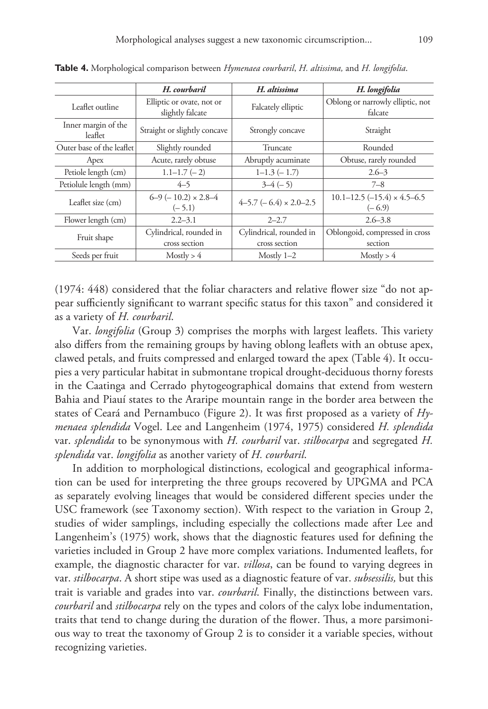|                                | H. courbaril                                  | H. altissima                             | H. longifolia                                     |  |  |
|--------------------------------|-----------------------------------------------|------------------------------------------|---------------------------------------------------|--|--|
| Leaflet outline                | Elliptic or ovate, not or<br>slightly falcate | Falcately elliptic                       | Oblong or narrowly elliptic, not<br>falcate       |  |  |
| Inner margin of the<br>leaflet | Straight or slightly concave                  | Strongly concave                         | Straight                                          |  |  |
| Outer base of the leaflet      | Slightly rounded                              | Truncate                                 | Rounded                                           |  |  |
| Apex                           | Acute, rarely obtuse                          | Abruptly acuminate                       | Obtuse, rarely rounded                            |  |  |
| Petiole length (cm)            | $1.1 - 1.7 (-2)$                              | $1-1.3(-1.7)$                            | $2.6 - 3$                                         |  |  |
| Petiolule length (mm)          | $4 - 5$                                       | $3-4(-5)$                                | $7 - 8$                                           |  |  |
| Leaflet size (cm)              | $6-9$ ( $-10.2$ ) $\times 2.8-4$<br>$(-5.1)$  | $4-5.7$ ( $-6.4$ ) $\times$ 2.0-2.5      | $10.1 - 12.5(-15.4) \times 4.5 - 6.5$<br>$(-6.9)$ |  |  |
| Flower length (cm)             | $2.2 - 3.1$                                   | $2 - 2.7$                                | $2.6 - 3.8$                                       |  |  |
| Fruit shape                    | Cylindrical, rounded in<br>cross section      | Cylindrical, rounded in<br>cross section | Oblongoid, compressed in cross<br>section         |  |  |
| Seeds per fruit                | Mostly > 4                                    | Mostly $1-2$                             | Mostly > 4                                        |  |  |

**Table 4.** Morphological comparison between *Hymenaea courbaril*, *H. altissima,* and *H. longifolia*.

(1974: 448) considered that the foliar characters and relative flower size "do not appear sufficiently significant to warrant specific status for this taxon" and considered it as a variety of *H. courbaril*.

Var. *longifolia* (Group 3) comprises the morphs with largest leaflets. This variety also differs from the remaining groups by having oblong leaflets with an obtuse apex, clawed petals, and fruits compressed and enlarged toward the apex (Table 4). It occupies a very particular habitat in submontane tropical drought-deciduous thorny forests in the Caatinga and Cerrado phytogeographical domains that extend from western Bahia and Piauí states to the Araripe mountain range in the border area between the states of Ceará and Pernambuco (Figure 2). It was first proposed as a variety of *Hymenaea splendida* Vogel. Lee and Langenheim (1974, 1975) considered *H. splendida*  var. *splendida* to be synonymous with *H. courbaril* var. *stilbocarpa* and segregated *H. splendida* var. *longifolia* as another variety of *H. courbaril*.

In addition to morphological distinctions, ecological and geographical information can be used for interpreting the three groups recovered by UPGMA and PCA as separately evolving lineages that would be considered different species under the USC framework (see Taxonomy section). With respect to the variation in Group 2, studies of wider samplings, including especially the collections made after Lee and Langenheim's (1975) work, shows that the diagnostic features used for defining the varieties included in Group 2 have more complex variations. Indumented leaflets, for example, the diagnostic character for var. *villosa*, can be found to varying degrees in var. *stilbocarpa*. A short stipe was used as a diagnostic feature of var. *subsessilis,* but this trait is variable and grades into var. *courbaril*. Finally, the distinctions between vars. *courbaril* and *stilbocarpa* rely on the types and colors of the calyx lobe indumentation, traits that tend to change during the duration of the flower. Thus, a more parsimonious way to treat the taxonomy of Group 2 is to consider it a variable species, without recognizing varieties.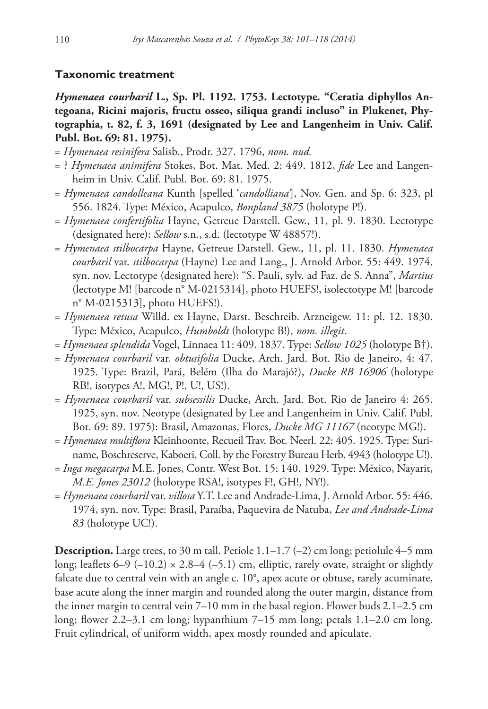# **Taxonomic treatment**

*Hymenaea courbaril* **L., Sp. Pl. 1192. 1753. Lectotype. "Ceratia diphyllos Antegoana, Ricini majoris, fructu osseo, siliqua grandi incluso" in Plukenet, Phytographia, t. 82, f. 3, 1691 (designated by Lee and Langenheim in Univ. Calif. Publ. Bot. 69: 81. 1975).**

- = *Hymenaea resinifera* Salisb., Prodr. 327. 1796, *nom. nud.*
- = ? *Hymenaea animifera* Stokes, Bot. Mat. Med. 2: 449. 1812, *fide* Lee and Langenheim in Univ. Calif. Publ. Bot. 69: 81. 1975.
- = *Hymenaea candolleana* Kunth [spelled '*candolliana'*], Nov. Gen. and Sp. 6: 323, pl 556. 1824. Type: México, Acapulco, *Bonpland 3875* (holotype P!).
- = *Hymenaea confertifolia* Hayne, Getreue Darstell. Gew., 11, pl. 9. 1830. Lectotype (designated here): *Sellow* s.n., s.d. (lectotype W 48857!).
- = *Hymenaea stilbocarpa* Hayne, Getreue Darstell. Gew., 11, pl. 11. 1830. *Hymenaea courbaril* var. *stilbocarpa* (Hayne) Lee and Lang., J. Arnold Arbor. 55: 449. 1974, syn. nov. Lectotype (designated here): "S. Pauli, sylv. ad Faz. de S. Anna", *Martius* (lectotype M! [barcode n° M-0215314], photo HUEFS!, isolectotype M! [barcode n° M-0215313], photo HUEFS!).
- = *Hymenaea retusa* Willd. ex Hayne, Darst. Beschreib. Arzneigew. 11: pl. 12. 1830. Type: México, Acapulco, *Humboldt* (holotype B!), *nom. illegit.*
- = *Hymenaea splendida* Vogel, Linnaea 11: 409. 1837. Type: *Sellow 1025* (holotype B†).
- = *Hymenaea courbaril* var. *obtusifolia* Ducke, Arch. Jard. Bot. Rio de Janeiro, 4: 47. 1925. Type: Brazil, Pará, Belém (Ilha do Marajó?), *Ducke RB 16906* (holotype RB!, isotypes A!, MG!, P!, U!, US!).
- = *Hymenaea courbaril* var. *subsessilis* Ducke, Arch. Jard. Bot. Rio de Janeiro 4: 265. 1925, syn. nov. Neotype (designated by Lee and Langenheim in Univ. Calif. Publ. Bot. 69: 89. 1975): Brasil, Amazonas, Flores, *Ducke MG 11167* (neotype MG!).
- = *Hymenaea multiflora* Kleinhoonte, Recueil Trav. Bot. Neerl. 22: 405. 1925. Type: Suriname, Boschreserve, Kaboeri, Coll. by the Forestry Bureau Herb. 4943 (holotype U!).
- = *Inga megacarpa* M.E. Jones, Contr. West Bot. 15: 140. 1929. Type: México, Nayarit, *M.E. Jones 23012* (holotype RSA!, isotypes F!, GH!, NY!).
- = *Hymenaea courbaril* var. *villosa* Y.T. Lee and Andrade-Lima, J. Arnold Arbor. 55: 446. 1974, syn. nov. Type: Brasil, Paraíba, Paquevira de Natuba, *Lee and Andrade-Lima 83* (holotype UC!).

**Description.** Large trees, to 30 m tall. Petiole  $1.1-1.7$  (-2) cm long; petiolule  $4-5$  mm long; leaflets  $6-9$  (-10.2)  $\times$  2.8–4 (-5.1) cm, elliptic, rarely ovate, straight or slightly falcate due to central vein with an angle c. 10°, apex acute or obtuse, rarely acuminate, base acute along the inner margin and rounded along the outer margin, distance from the inner margin to central vein 7–10 mm in the basal region. Flower buds 2.1–2.5 cm long; flower 2.2–3.1 cm long; hypanthium 7–15 mm long; petals 1.1–2.0 cm long. Fruit cylindrical, of uniform width, apex mostly rounded and apiculate.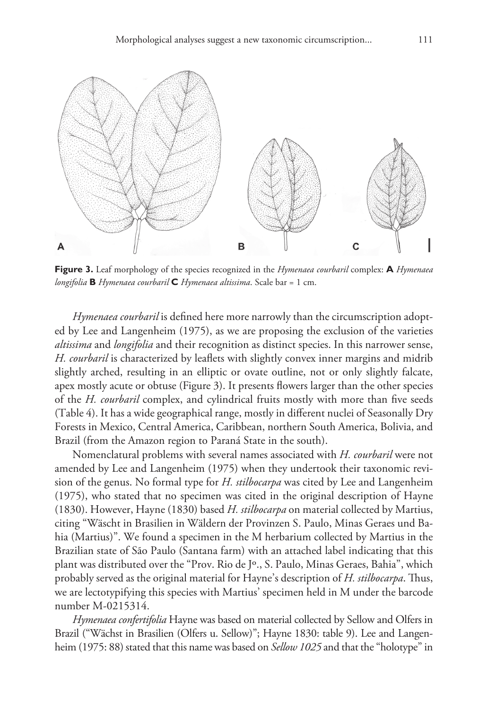

**Figure 3.** Leaf morphology of the species recognized in the *Hymenaea courbaril* complex: **A** *Hymenaea longifolia* **B** *Hymenaea courbaril* **C** *Hymenaea altissima*. Scale bar = 1 cm.

*Hymenaea courbaril* is defined here more narrowly than the circumscription adopted by Lee and Langenheim (1975), as we are proposing the exclusion of the varieties *altissima* and *longifolia* and their recognition as distinct species. In this narrower sense, *H. courbaril* is characterized by leaflets with slightly convex inner margins and midrib slightly arched, resulting in an elliptic or ovate outline, not or only slightly falcate, apex mostly acute or obtuse (Figure 3). It presents flowers larger than the other species of the *H. courbaril* complex, and cylindrical fruits mostly with more than five seeds (Table 4). It has a wide geographical range, mostly in different nuclei of Seasonally Dry Forests in Mexico, Central America, Caribbean, northern South America, Bolivia, and Brazil (from the Amazon region to Paraná State in the south).

Nomenclatural problems with several names associated with *H. courbaril* were not amended by Lee and Langenheim (1975) when they undertook their taxonomic revision of the genus. No formal type for *H. stilbocarpa* was cited by Lee and Langenheim (1975), who stated that no specimen was cited in the original description of Hayne (1830). However, Hayne (1830) based *H. stilbocarpa* on material collected by Martius, citing "Wäscht in Brasilien in Wäldern der Provinzen S. Paulo, Minas Geraes und Bahia (Martius)". We found a specimen in the M herbarium collected by Martius in the Brazilian state of São Paulo (Santana farm) with an attached label indicating that this plant was distributed over the "Prov. Rio de Jº., S. Paulo, Minas Geraes, Bahia", which probably served as the original material for Hayne's description of *H. stilbocarpa*. Thus, we are lectotypifying this species with Martius' specimen held in M under the barcode number M-0215314.

*Hymenaea confertifolia* Hayne was based on material collected by Sellow and Olfers in Brazil ("Wächst in Brasilien (Olfers u. Sellow)"; Hayne 1830: table 9). Lee and Langenheim (1975: 88) stated that this name was based on *Sellow 1025* and that the "holotype" in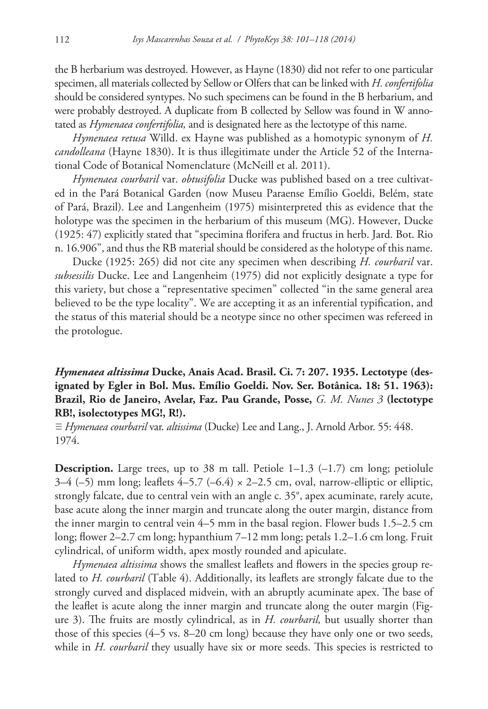the B herbarium was destroyed. However, as Hayne (1830) did not refer to one particular specimen, all materials collected by Sellow or Olfers that can be linked with *H. confertifolia* should be considered syntypes. No such specimens can be found in the B herbarium, and were probably destroyed. A duplicate from B collected by Sellow was found in W annotated as *Hymenaea confertifolia,* and is designated here as the lectotype of this name.

*Hymenaea retusa* Willd. ex Hayne was published as a homotypic synonym of *H. candolleana* (Hayne 1830). It is thus illegitimate under the Article 52 of the International Code of Botanical Nomenclature (McNeill et al. 2011).

*Hymenaea courbaril* var. *obtusifolia* Ducke was published based on a tree cultivated in the Pará Botanical Garden (now Museu Paraense Emílio Goeldi, Belém, state of Pará, Brazil). Lee and Langenheim (1975) misinterpreted this as evidence that the holotype was the specimen in the herbarium of this museum (MG). However, Ducke (1925: 47) explicitly stated that "specimina florifera and fructus in herb. Jard. Bot. Rio n. 16.906", and thus the RB material should be considered as the holotype of this name.

Ducke (1925: 265) did not cite any specimen when describing *H. courbaril* var. *subsessilis* Ducke. Lee and Langenheim (1975) did not explicitly designate a type for this variety, but chose a "representative specimen" collected "in the same general area believed to be the type locality". We are accepting it as an inferential typification, and the status of this material should be a neotype since no other specimen was refereed in the protologue.

# *Hymenaea altissima* **Ducke, Anais Acad. Brasil. Ci. 7: 207. 1935. Lectotype (designated by Egler in Bol. Mus. Emílio Goeldi. Nov. Ser. Botânica. 18: 51. 1963): Brazil, Rio de Janeiro, Avelar, Faz. Pau Grande, Posse,** *G. M. Nunes 3* **(lectotype RB!, isolectotypes MG!, R!).**

≡ *Hymenaea courbaril* var. *altissima* (Ducke) Lee and Lang., J. Arnold Arbor. 55: 448. 1974.

**Description.** Large trees, up to 38 m tall. Petiole  $1-1.3$  ( $-1.7$ ) cm long; petiolule 3–4 (–5) mm long; leaflets 4–5.7 (–6.4)  $\times$  2–2.5 cm, oval, narrow-elliptic or elliptic, strongly falcate, due to central vein with an angle c. 35°, apex acuminate, rarely acute, base acute along the inner margin and truncate along the outer margin, distance from the inner margin to central vein 4–5 mm in the basal region. Flower buds 1.5–2.5 cm long; flower 2–2.7 cm long; hypanthium 7–12 mm long; petals 1.2–1.6 cm long. Fruit cylindrical, of uniform width, apex mostly rounded and apiculate.

*Hymenaea altissima* shows the smallest leaflets and flowers in the species group related to *H. courbaril* (Table 4). Additionally, its leaflets are strongly falcate due to the strongly curved and displaced midvein, with an abruptly acuminate apex. The base of the leaflet is acute along the inner margin and truncate along the outer margin (Figure 3). The fruits are mostly cylindrical, as in *H. courbaril,* but usually shorter than those of this species (4–5 vs. 8–20 cm long) because they have only one or two seeds, while in *H. courbaril* they usually have six or more seeds. This species is restricted to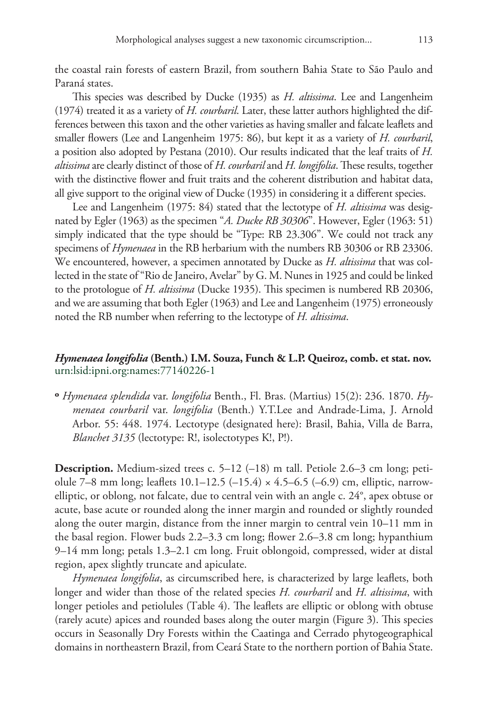the coastal rain forests of eastern Brazil, from southern Bahia State to São Paulo and Paraná states.

This species was described by Ducke (1935) as *H. altissima*. Lee and Langenheim (1974) treated it as a variety of *H. courbaril*. Later, these latter authors highlighted the differences between this taxon and the other varieties as having smaller and falcate leaflets and smaller flowers (Lee and Langenheim 1975: 86), but kept it as a variety of *H. courbaril*, a position also adopted by Pestana (2010). Our results indicated that the leaf traits of *H. altissima* are clearly distinct of those of *H. courbaril* and *H. longifolia*. These results, together with the distinctive flower and fruit traits and the coherent distribution and habitat data, all give support to the original view of Ducke (1935) in considering it a different species.

Lee and Langenheim (1975: 84) stated that the lectotype of *H. altissima* was designated by Egler (1963) as the specimen "*A. Ducke RB 30306*". However, Egler (1963: 51) simply indicated that the type should be "Type: RB 23.306". We could not track any specimens of *Hymenaea* in the RB herbarium with the numbers RB 30306 or RB 23306. We encountered, however, a specimen annotated by Ducke as *H. altissima* that was collected in the state of "Rio de Janeiro, Avelar" by G. M. Nunes in 1925 and could be linked to the protologue of *H. altissima* (Ducke 1935). This specimen is numbered RB 20306, and we are assuming that both Egler (1963) and Lee and Langenheim (1975) erroneously noted the RB number when referring to the lectotype of *H. altissima*.

## *Hymenaea longifolia* **(Benth.) I.M. Souza, Funch & L.P. Queiroz, comb. et stat. nov.** [urn:lsid:ipni.org:names:77140226-1](http://ipni.org/urn:lsid:ipni.org:names:77140226-1)

**º** *Hymenaea splendida* var. *longifolia* Benth., Fl. Bras. (Martius) 15(2): 236. 1870. *Hymenaea courbaril* var. *longifolia* (Benth.) Y.T.Lee and Andrade-Lima, J. Arnold Arbor. 55: 448. 1974. Lectotype (designated here): Brasil, Bahia, Villa de Barra, *Blanchet 3135* (lectotype: R!, isolectotypes K!, P!).

**Description.** Medium-sized trees c. 5–12 (–18) m tall. Petiole 2.6–3 cm long; petiolule 7–8 mm long; leaflets  $10.1-12.5$  (-15.4)  $\times$  4.5–6.5 (-6.9) cm, elliptic, narrowelliptic, or oblong, not falcate, due to central vein with an angle c. 24°, apex obtuse or acute, base acute or rounded along the inner margin and rounded or slightly rounded along the outer margin, distance from the inner margin to central vein 10–11 mm in the basal region. Flower buds 2.2–3.3 cm long; flower 2.6–3.8 cm long; hypanthium 9–14 mm long; petals 1.3–2.1 cm long. Fruit oblongoid, compressed, wider at distal region, apex slightly truncate and apiculate.

*Hymenaea longifolia*, as circumscribed here, is characterized by large leaflets, both longer and wider than those of the related species *H. courbaril* and *H. altissima*, with longer petioles and petiolules (Table 4). The leaflets are elliptic or oblong with obtuse (rarely acute) apices and rounded bases along the outer margin (Figure 3). This species occurs in Seasonally Dry Forests within the Caatinga and Cerrado phytogeographical domains in northeastern Brazil, from Ceará State to the northern portion of Bahia State.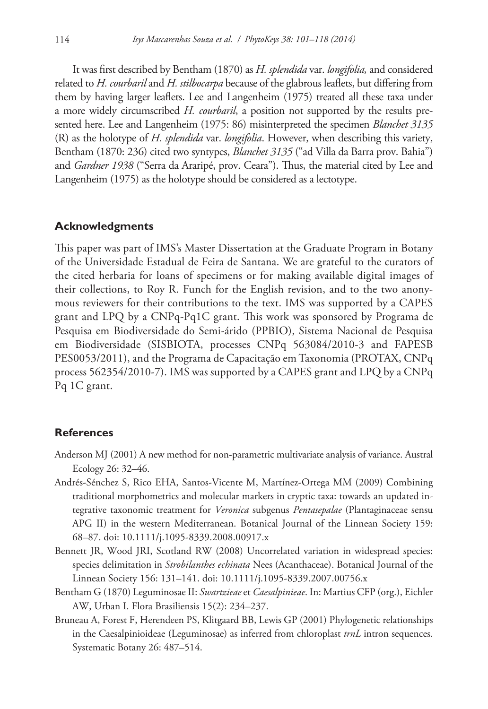It was first described by Bentham (1870) as *H. splendida* var. *longifolia,* and considered related to *H. courbaril* and *H. stilbocarpa* because of the glabrous leaflets, but differing from them by having larger leaflets. Lee and Langenheim (1975) treated all these taxa under a more widely circumscribed *H. courbaril*, a position not supported by the results presented here. Lee and Langenheim (1975: 86) misinterpreted the specimen *Blanchet 3135* (R) as the holotype of *H. splendida* var. *longifolia*. However, when describing this variety, Bentham (1870: 236) cited two syntypes, *Blanchet 3135* ("ad Villa da Barra prov. Bahia") and *Gardner 1938* ("Serra da Araripé, prov. Ceara"). Thus, the material cited by Lee and Langenheim (1975) as the holotype should be considered as a lectotype.

#### **Acknowledgments**

This paper was part of IMS's Master Dissertation at the Graduate Program in Botany of the Universidade Estadual de Feira de Santana. We are grateful to the curators of the cited herbaria for loans of specimens or for making available digital images of their collections, to Roy R. Funch for the English revision, and to the two anonymous reviewers for their contributions to the text. IMS was supported by a CAPES grant and LPQ by a CNPq-Pq1C grant. This work was sponsored by Programa de Pesquisa em Biodiversidade do Semi-árido (PPBIO), Sistema Nacional de Pesquisa em Biodiversidade (SISBIOTA, processes CNPq 563084/2010-3 and FAPESB PES0053/2011), and the Programa de Capacitação em Taxonomia (PROTAX, CNPq process 562354/2010-7). IMS was supported by a CAPES grant and LPQ by a CNPq Pq 1C grant.

#### **References**

- Anderson MJ (2001) A new method for non-parametric multivariate analysis of variance. Austral Ecology 26: 32–46.
- Andrés-Sénchez S, Rico EHA, Santos-Vicente M, Martínez-Ortega MM (2009) Combining traditional morphometrics and molecular markers in cryptic taxa: towards an updated integrative taxonomic treatment for *Veronica* subgenus *Pentasepalae* (Plantaginaceae sensu APG II) in the western Mediterranean. Botanical Journal of the Linnean Society 159: 68–87. [doi: 10.1111/j.1095-8339.2008.00917.x](http://dx.doi.org/10.1111/j.1095-8339.2008.00917.x)
- Bennett JR, Wood JRI, Scotland RW (2008) Uncorrelated variation in widespread species: species delimitation in *Strobilanthes echinata* Nees (Acanthaceae). Botanical Journal of the Linnean Society 156: 131–141. [doi: 10.1111/j.1095-8339.2007.00756.x](http://dx.doi.org/10.1111/j.1095-8339.2007.00756.x)
- Bentham G (1870) Leguminosae II: *Swartzieae* et *Caesalpinieae*. In: Martius CFP (org.), Eichler AW, Urban I. Flora Brasiliensis 15(2): 234–237.
- Bruneau A, Forest F, Herendeen PS, Klitgaard BB, Lewis GP (2001) Phylogenetic relationships in the Caesalpinioideae (Leguminosae) as inferred from chloroplast *trnL* intron sequences. Systematic Botany 26: 487–514.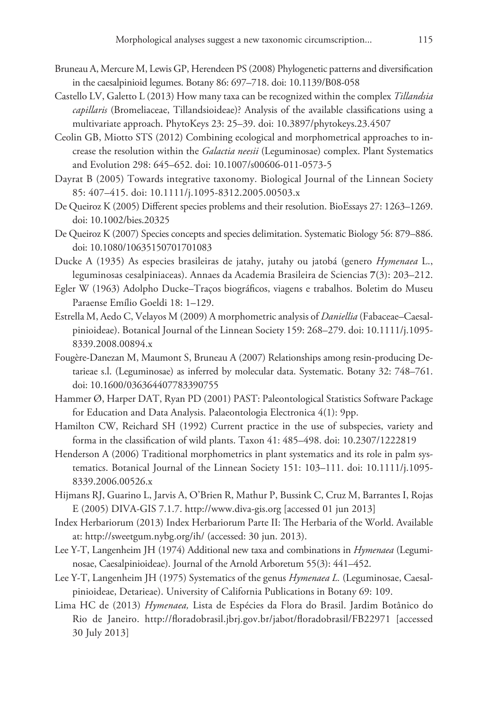- Bruneau A, Mercure M, Lewis GP, Herendeen PS (2008) Phylogenetic patterns and diversification in the caesalpinioid legumes. Botany 86: 697–718. [doi: 10.1139/B08-058](http://dx.doi.org/10.1139/B08-058)
- Castello LV, Galetto L (2013) How many taxa can be recognized within the complex *Tillandsia capillaris* (Bromeliaceae, Tillandsioideae)? Analysis of the available classifications using a multivariate approach. PhytoKeys 23: 25–39. [doi: 10.3897/phytokeys.23.4507](http://dx.doi.org/10.3897/phytokeys.23.4507)
- Ceolin GB, Miotto STS (2012) Combining ecological and morphometrical approaches to increase the resolution within the *Galactia neesii* (Leguminosae) complex. Plant Systematics and Evolution 298: 645–652. [doi: 10.1007/s00606-011-0573-5](http://dx.doi.org/10.1007/s00606-011-0573-5)
- Dayrat B (2005) Towards integrative taxonomy. Biological Journal of the Linnean Society 85: 407–415. [doi: 10.1111/j.1095-8312.2005.00503.x](http://dx.doi.org/10.1111/j.1095-8312.2005.00503.x)
- De Queiroz K (2005) Different species problems and their resolution. BioEssays 27: 1263–1269. [doi: 10.1002/bies.20325](http://dx.doi.org/10.1002/bies.20325)
- De Queiroz K (2007) Species concepts and species delimitation. Systematic Biology 56: 879–886. [doi: 10.1080/10635150701701083](http://dx.doi.org/10.1080/10635150701701083)
- Ducke A (1935) As especies brasileiras de jatahy, jutahy ou jatobá (genero *Hymenaea* L., leguminosas cesalpiniaceas). Annaes da Academia Brasileira de Sciencias **7**(3): 203–212.
- Egler W (1963) Adolpho Ducke–Traços biográficos, viagens e trabalhos. Boletim do Museu Paraense Emílio Goeldi 18: 1–129.
- Estrella M, Aedo C, Velayos M (2009) A morphometric analysis of *Daniellia* (Fabaceae–Caesalpinioideae). Botanical Journal of the Linnean Society 159: 268–279. [doi: 10.1111/j.1095-](http://dx.doi.org/10.1111/j.1095-8339.2008.00894.x) [8339.2008.00894.x](http://dx.doi.org/10.1111/j.1095-8339.2008.00894.x)
- Fougère-Danezan M, Maumont S, Bruneau A (2007) Relationships among resin-producing Detarieae s.l. (Leguminosae) as inferred by molecular data. Systematic. Botany 32: 748–761. [doi: 10.1600/036364407783390755](http://dx.doi.org/10.1600/036364407783390755)
- Hammer Ø, Harper DAT, Ryan PD (2001) PAST: Paleontological Statistics Software Package for Education and Data Analysis. Palaeontologia Electronica 4(1): 9pp.
- Hamilton CW, Reichard SH (1992) Current practice in the use of subspecies, variety and forma in the classification of wild plants. Taxon 41: 485–498. [doi: 10.2307/1222819](http://dx.doi.org/10.2307/1222819)
- Henderson A (2006) Traditional morphometrics in plant systematics and its role in palm systematics. Botanical Journal of the Linnean Society 151: 103–111. [doi: 10.1111/j.1095-](http://dx.doi.org/10.1111/j.1095-8339.2006.00526.x) [8339.2006.00526.x](http://dx.doi.org/10.1111/j.1095-8339.2006.00526.x)
- Hijmans RJ, Guarino L, Jarvis A, O'Brien R, Mathur P, Bussink C, Cruz M, Barrantes I, Rojas E (2005) DIVA-GIS 7.1.7.<http://www.diva-gis.org>[accessed 01 jun 2013]
- Index Herbariorum (2013) Index Herbariorum Parte II: The Herbaria of the World. Available at: <http://sweetgum.nybg.org/ih/> (accessed: 30 jun. 2013).
- Lee Y-T, Langenheim JH (1974) Additional new taxa and combinations in *Hymenaea* (Leguminosae, Caesalpinioideae). Journal of the Arnold Arboretum 55(3): 441–452.
- Lee Y-T, Langenheim JH (1975) Systematics of the genus *Hymenaea L.* (Leguminosae, Caesalpinioideae, Detarieae). University of California Publications in Botany 69: 109.
- Lima HC de (2013) *Hymenaea,* Lista de Espécies da Flora do Brasil. Jardim Botânico do Rio de Janeiro. <http://floradobrasil.jbrj.gov.br/jabot/floradobrasil/FB22971>[accessed 30 July 2013]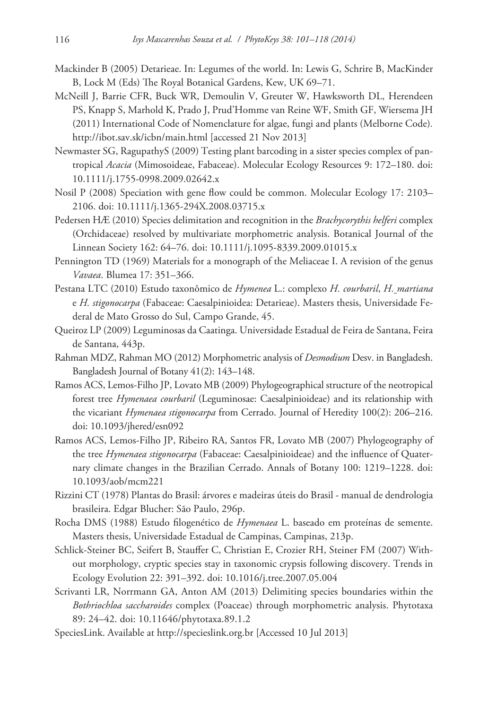- Mackinder B (2005) Detarieae. In: Legumes of the world. In: Lewis G, Schrire B, MacKinder B, Lock M (Eds) The Royal Botanical Gardens, Kew, UK 69–71.
- McNeill J, Barrie CFR, Buck WR, Demoulin V, Greuter W, Hawksworth DL, Herendeen PS, Knapp S, Marhold K, Prado J, Prud'Homme van Reine WF, Smith GF, Wiersema JH (2011) International Code of Nomenclature for algae, fungi and plants (Melborne Code)*.* <http://ibot.sav.sk/icbn/main.html> [accessed 21 Nov 2013]
- Newmaster SG, RagupathyS (2009) Testing plant barcoding in a sister species complex of pantropical *Acacia* (Mimosoideae, Fabaceae). Molecular Ecology Resources 9: 172–180. [doi:](http://dx.doi.org/10.1111/j.1755-0998.2009.02642.x) [10.1111/j.1755-0998.2009.02642.x](http://dx.doi.org/10.1111/j.1755-0998.2009.02642.x)
- Nosil P (2008) Speciation with gene flow could be common. Molecular Ecology 17: 2103– 2106. [doi: 10.1111/j.1365-294X.2008.03715.x](http://dx.doi.org/10.1111/j.1365-294X.2008.03715.x)
- Pedersen HÆ (2010) Species delimitation and recognition in the *Brachycorythis helferi* complex (Orchidaceae) resolved by multivariate morphometric analysis. Botanical Journal of the Linnean Society 162: 64–76. [doi: 10.1111/j.1095-8339.2009.01015.x](http://dx.doi.org/10.1111/j.1095-8339.2009.01015.x)
- Pennington TD (1969) Materials for a monograph of the Meliaceae I. A revision of the genus *Vavaea*. Blumea 17: 351–366.
- Pestana LTC (2010) Estudo taxonômico de *Hymenea* L.: complexo *H. courbaril*, *H. martiana* e *H. stigonocarpa* (Fabaceae: Caesalpinioidea: Detarieae). Masters thesis, Universidade Federal de Mato Grosso do Sul, Campo Grande, 45.
- Queiroz LP (2009) Leguminosas da Caatinga. Universidade Estadual de Feira de Santana, Feira de Santana, 443p.
- Rahman MDZ, Rahman MO (2012) Morphometric analysis of *Desmodium* Desv. in Bangladesh. Bangladesh Journal of Botany 41(2): 143–148.
- Ramos ACS, Lemos-Filho JP, Lovato MB (2009) Phylogeographical structure of the neotropical forest tree *Hymenaea courbaril* (Leguminosae: Caesalpinioideae) and its relationship with the vicariant *Hymenaea stigonocarpa* from Cerrado. Journal of Heredity 100(2): 206–216. [doi: 10.1093/jhered/esn092](http://dx.doi.org/10.1093/jhered/esn092)
- Ramos ACS, Lemos-Filho JP, Ribeiro RA, Santos FR, Lovato MB (2007) Phylogeography of the tree *Hymenaea stigonocarpa* (Fabaceae: Caesalpinioideae) and the influence of Quaternary climate changes in the Brazilian Cerrado. Annals of Botany 100: 1219–1228. [doi:](http://dx.doi.org/10.1093/aob/mcm221) [10.1093/aob/mcm221](http://dx.doi.org/10.1093/aob/mcm221)
- Rizzini CT (1978) Plantas do Brasil: árvores e madeiras úteis do Brasil manual de dendrologia brasileira. Edgar Blucher: São Paulo, 296p.
- Rocha DMS (1988) Estudo filogenético de *Hymenaea* L. baseado em proteínas de semente. Masters thesis, Universidade Estadual de Campinas, Campinas, 213p.
- Schlick-Steiner BC, Seifert B, Stauffer C, Christian E, Crozier RH, Steiner FM (2007) Without morphology, cryptic species stay in taxonomic crypsis following discovery. Trends in Ecology Evolution 22: 391–392. [doi: 10.1016/j.tree.2007.05.004](http://dx.doi.org/10.1016/j.tree.2007.05.004)
- Scrivanti LR, Norrmann GA, Anton AM (2013) Delimiting species boundaries within the *Bothriochloa saccharoides* complex (Poaceae) through morphometric analysis. Phytotaxa 89: 24–42. [doi: 10.11646/phytotaxa.89.1.2](http://dx.doi.org/10.11646/phytotaxa.89.1.2)
- SpeciesLink. Available at<http://specieslink.org.br>[Accessed 10 Jul 2013]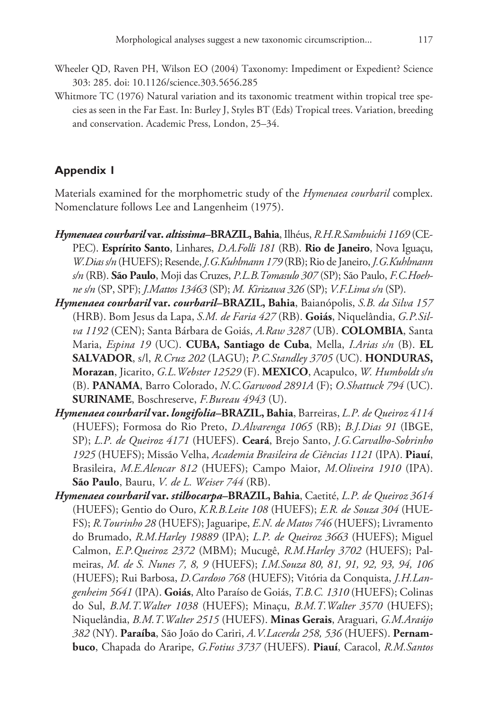- Wheeler QD, Raven PH, Wilson EO (2004) Taxonomy: Impediment or Expedient? Science 303: 285. [doi: 10.1126/science.303.5656.285](http://dx.doi.org/10.1126/science.303.5656.285)
- Whitmore TC (1976) Natural variation and its taxonomic treatment within tropical tree species as seen in the Far East. In: Burley J, Styles BT (Eds) Tropical trees. Variation, breeding and conservation. Academic Press, London, 25–34.

# **Appendix 1**

Materials examined for the morphometric study of the *Hymenaea courbaril* complex. Nomenclature follows Lee and Langenheim (1975).

- *Hymenaea courbaril* **var.** *altissima–***BRAZIL, Bahia**, Ilhéus, *R.H.R.Sambuichi 1169* (CE-PEC). **Esprírito Santo**, Linhares, *D.A.Folli 181* (RB). **Rio de Janeiro**, Nova Iguaçu, *W.Dias s/n* (HUEFS); Resende, *J.G.Kuhlmann 179* (RB); Rio de Janeiro, *J.G.Kuhlmann s/n* (RB). **São Paulo**, Moji das Cruzes, *P.L.B.Tomasulo 307* (SP); São Paulo, *F.C.Hoehne s/n* (SP, SPF); *J.Mattos 13463* (SP); *M. Kirizawa 326* (SP); *V.F.Lima s/n* (SP).
- *Hymenaea courbaril* **var.** *courbaril–***BRAZIL, Bahia**, Baianópolis, *S.B. da Silva 157*  (HRB). Bom Jesus da Lapa, *S.M. de Faria 427* (RB). **Goiás**, Niquelândia, *G.P.Silva 1192* (CEN); Santa Bárbara de Goiás, *A.Raw 3287* (UB). **COLOMBIA**, Santa Maria, *Espina 19* (UC). **CUBA, Santiago de Cuba**, Mella, *I.Arias s/n* (B). **EL SALVADOR**, s/l, *R.Cruz 202* (LAGU); *P.C.Standley 3705* (UC). **HONDURAS, Morazan**, Jicarito, *G.L.Webster 12529* (F). **MEXICO**, Acapulco, *W. Humboldt s/n*  (B). **PANAMA**, Barro Colorado, *N.C.Garwood 2891A* (F); *O.Shattuck 794* (UC). **SURINAME**, Boschreserve, *F.Bureau 4943* (U).
- *Hymenaea courbaril* **var.** *longifolia–***BRAZIL, Bahia**, Barreiras, *L.P. de Queiroz 4114*  (HUEFS); Formosa do Rio Preto, *D.Alvarenga 1065* (RB); *B.J.Dias 91* (IBGE, SP); *L.P. de Queiroz 4171* (HUEFS). **Ceará**, Brejo Santo, *J.G.Carvalho-Sobrinho 1925* (HUEFS); Missão Velha, *Academia Brasileira de Ciências 1121* (IPA). **Piauí**, Brasileira, *M.E.Alencar 812* (HUEFS); Campo Maior, *M.Oliveira 1910* (IPA). **São Paulo**, Bauru, *V. de L. Weiser 744* (RB).
- *Hymenaea courbaril* **var.** *stilbocarpa–***BRAZIL, Bahia**, Caetité, *L.P. de Queiroz 3614*  (HUEFS); Gentio do Ouro, *K.R.B.Leite 108* (HUEFS); *E.R. de Souza 304* (HUE-FS); *R.Tourinho 28* (HUEFS); Jaguaripe, *E.N. de Matos 746* (HUEFS); Livramento do Brumado, *R.M.Harley 19889* (IPA); *L.P. de Queiroz 3663* (HUEFS); Miguel Calmon, *E.P.Queiroz 2372* (MBM); Mucugê, *R.M.Harley 3702* (HUEFS); Palmeiras, *M. de S. Nunes 7, 8, 9* (HUEFS); *I.M.Souza 80, 81, 91, 92, 93, 94, 106*  (HUEFS); Rui Barbosa, *D.Cardoso 768* (HUEFS); Vitória da Conquista, *J.H.Langenheim 5641* (IPA). **Goiás**, Alto Paraíso de Goiás, *T.B.C. 1310* (HUEFS); Colinas do Sul, *B.M.T.Walter 1038* (HUEFS); Minaçu, *B.M.T.Walter 3570* (HUEFS); Niquelândia, *B.M.T.Walter 2515* (HUEFS). **Minas Gerais**, Araguari, *G.M.Araújo 382* (NY). **Paraíba**, São João do Cariri, *A.V.Lacerda 258, 536* (HUEFS). **Pernambuco**, Chapada do Araripe, *G.Fotius 3737* (HUEFS). **Piauí**, Caracol, *R.M.Santos*